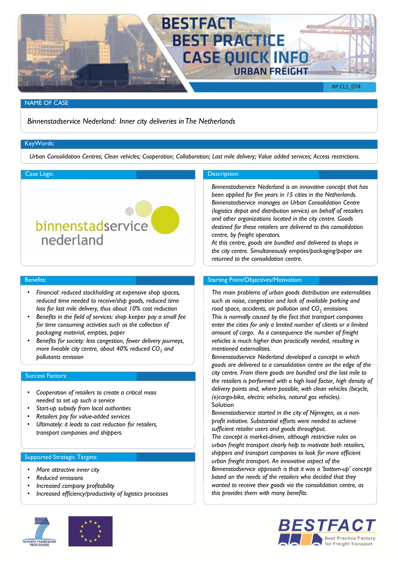

## NAME OF CASE

*Binnenstadservice Nederland: Inner city deliveries in The Netherlands*

# KeyWords:

*Urban Consolidation Centres; Clean vehicles; Cooperation; Collaboration; Last mile delivery; Value added services; Access restrictions.*



#### Benefits:

- *Financial: reduced stockholding at expensive shop spaces, reduced time needed to receive/ship goods, reduced time loss for last mile delivery, thus about 10% cost reduction*
- *Benefits in the field of services: shop keeper pay a small fee for time consuming activities such as the collection of packaging material, empties, paper*
- *Benefits for society: less congestion, fewer delivery journeys, more liveable city centre, about 40% reduced CO<sup>2</sup> and pollutants emission*

## Success Factors:

- *Cooperation of retailers to create a critical mass needed to set up such a service*
- *Start-up subsidy from local authorities*
- *Retailers pay for value-added services*
- *Ultimately: it leads to cost reduction for retailers, transport companies and shippers.*

# Supported Strategic Targets:

- *More attractive inner city*
- *Reduced emissions*
- *Increased company profitability*
- *Increased efficiency/productivity of logistics processes*



*Binnenstadservice Nederland is an innovative concept that has been applied for five years in 15 cities in the Netherlands. Binnenstadservice manages an Urban Consolidation Centre (logistics depot and distribution service) on behalf of retailers and other organizations located in the city centre. Goods destined for these retailers are delivered to this consolidation centre, by freight operators.* 

*At this centre, goods are bundled and delivered to shops in the city centre. Simultaneously empties/packaging/paper are returned to the consolidation centre.* 

# Starting Point/Objectives/Motivation:

*The main problems of urban goods distribution are externalities such as noise, congestion and lack of available parking and road space, accidents, air pollution and CO<sup>2</sup> emissions. This is normally caused by the fact that transport companies enter the cities for only a limited number of clients or a limited amount of cargo. As a consequence the number of freight vehicles is much higher than practically needed, resulting in mentioned externalities.*

*Binnenstadservice Nederland developed a concept in which goods are delivered to a consolidation centre on the edge of the city centre. From there goods are bundled and the last mile to the retailers is performed with a high load factor, high density of delivery points and, where possible, with clean vehicles (bicycle, (e)cargo-bike, electric vehicles, natural gas vehicles).* Solution

*Binnenstadservice started in the city of Nijmegen, as a nonprofit initiative. Substantial efforts were needed to achieve sufficient retailer users and goods throughput.* 

*The concept is market-driven, although restrictive rules on urban freight transport clearly help to motivate both retailers, shippers and transport companies to look for more efficient urban freight transport. An innovative aspect of the Binnenstadservice approach is that it was a 'bottom-up' concept based on the needs of the retailers who decided that they wanted to receive their goods via the consolidation centre, as this provides them with many benefits.*